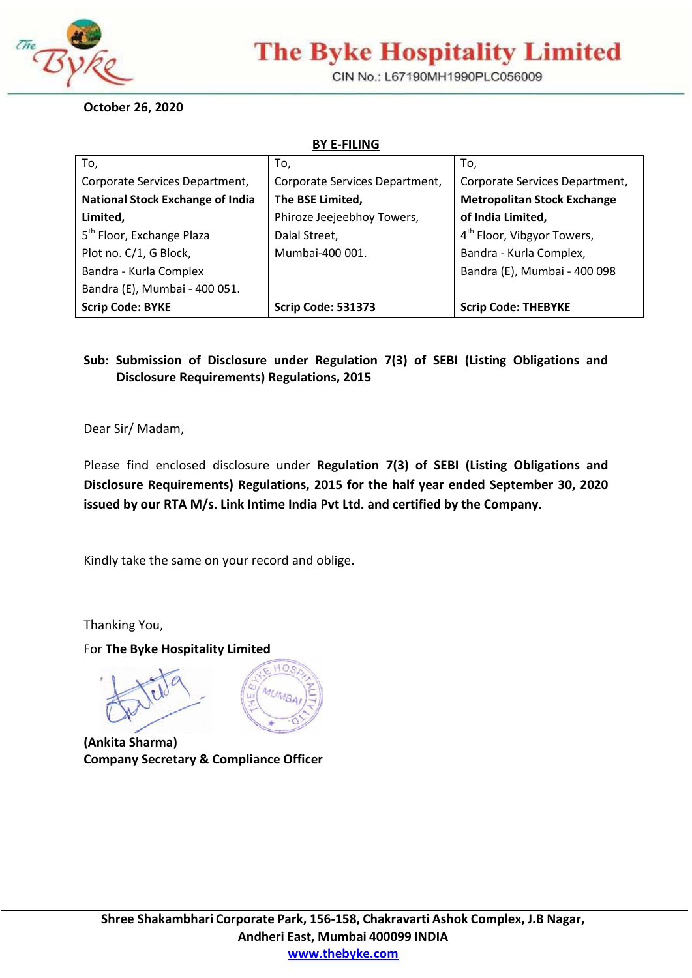

# **The Byke Hospitality Limited**

CIN No.: L67190MH1990PLC056009

**October 26, 2020**

**BY E-FILING**

| To,                                     | To,                            | To,                                    |
|-----------------------------------------|--------------------------------|----------------------------------------|
| Corporate Services Department,          | Corporate Services Department, | Corporate Services Department,         |
| <b>National Stock Exchange of India</b> | The BSE Limited,               | <b>Metropolitan Stock Exchange</b>     |
| Limited,                                | Phiroze Jeejeebhoy Towers,     | of India Limited,                      |
| 5 <sup>th</sup> Floor, Exchange Plaza   | Dalal Street,                  | 4 <sup>th</sup> Floor, Vibgyor Towers, |
| Plot no. C/1, G Block,                  | Mumbai-400 001.                | Bandra - Kurla Complex,                |
| Bandra - Kurla Complex                  |                                | Bandra (E), Mumbai - 400 098           |
| Bandra (E), Mumbai - 400 051.           |                                |                                        |
| <b>Scrip Code: BYKE</b>                 | <b>Scrip Code: 531373</b>      | <b>Scrip Code: THEBYKE</b>             |

#### **Sub: Submission of Disclosure under Regulation 7(3) of SEBI (Listing Obligations and Disclosure Requirements) Regulations, 2015**

Dear Sir/ Madam,

Please find enclosed disclosure under **Regulation 7(3) of SEBI (Listing Obligations and Disclosure Requirements) Regulations, 2015 for the half year ended September 30, 2020 issued by our RTA M/s. Link Intime India Pvt Ltd. and certified by the Company.**

Kindly take the same on your record and oblige.

Thanking You,

For **The Byke Hospitality Limited**



 **(Ankita Sharma) Company Secretary & Compliance Officer**